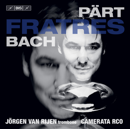| .            |  |
|--------------|--|
| I = 1 (* 11) |  |
|              |  |

# FRATRES BACH

# JÖRGEN VAN RIJEN trombone<sup>1</sup> CAMERATA RCO

PÄRT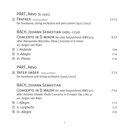|             | PÄRT, ARVO (b. 1935)<br><b>1 FRATRES</b> (Universal Edition)<br>for trombone, string orchestra and percussion (1977/2017)                                               | 12'15 |
|-------------|-------------------------------------------------------------------------------------------------------------------------------------------------------------------------|-------|
|             | BACH, JOHANN SEBASTIAN (1685-1750)<br>CONCERTO IN D MINOR for solo harpsichord, BWV 974<br>after Alessandro Marcello: Oboe Concerto in D minor<br>arr. Jörgen van Rijen | 9'57  |
|             | $\boxed{2}$ I. Andante                                                                                                                                                  | 3'06  |
| $\sqrt{3}$  | II. Adagio                                                                                                                                                              | 3'34  |
| $\sqrt{4}$  | III. Presto                                                                                                                                                             | 3'16  |
|             | PÄRT, ARVO<br>5 VATER UNSER (Universal Edition)<br>for trombone and string orchestra (2005/2017)                                                                        | 3'23  |
|             | BACH, JOHANN SEBASTIAN<br>CONCERTO IN D MAJOR for solo harpsichord, BWV 972<br>after Antonio Vivaldi: Violin Concerto in D major, Op. 3 No. 9<br>arr. Jörgen van Rijen  | 7'45  |
|             | 6 I. Allegro                                                                                                                                                            | 2'15  |
| $\boxed{7}$ | II. Larghetto                                                                                                                                                           | 3'27  |
| 8           | III. Allegro                                                                                                                                                            | 2'02  |
|             |                                                                                                                                                                         |       |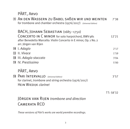# PÄRT, Arvo

|    | T AN DEN WASSERN ZU BABEL SABEN WIR UND WEINTEN<br>for trombone and chamber orchestra (1976/2017) (Universal Edition)                                                                 | 7'38      |
|----|---------------------------------------------------------------------------------------------------------------------------------------------------------------------------------------|-----------|
|    | BACH, JOHANN SEBASTIAN (1685-1750)<br>CONCERTO IN C MINOR for solo harpsichord, BWV 981<br>after Benedetto Marcello: Violin Concerto in E minor, Op. 1 No. 2<br>arr. Jörgen van Rijen | 12'21     |
| 10 | I. Adagio                                                                                                                                                                             | 2'17      |
| 11 | II. Vivace                                                                                                                                                                            | 1'59      |
| 12 | III. Adagio staccato                                                                                                                                                                  | 3'04      |
| 13 | <b>IV.</b> Prestissimo                                                                                                                                                                | 5'00      |
|    | PÄRT, ARVO                                                                                                                                                                            |           |
|    | <sup>14</sup> PARI INTERVALLO (Universal Edition)<br>for clarinet, trombone and string orchestra (1976/2017)<br>HEIN WIEDIJK clarinet                                                 | 3'57      |
|    |                                                                                                                                                                                       | TT: 58'32 |
|    | JÖRGEN VAN RIJEN trombone and direction<br>CAMERATA RCO                                                                                                                               |           |

*These versions of Pärt's works are world première recordings.*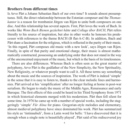## **Brothers from different times**

Is Arvo Pärt a Johann Sebastian Bach of our own time? It sounds almost presumptuous. Still, the direct relationship between the Estonian composer and the *Thomas kantor* is a reason for trombonist Jörgen van Rijen to unite both composers on one disc. And this relationship has several aspects. First, Pärt loves the work of Bach. In works like *Wenn Bach Bienen gezüchtet hätte* and *Collage über BACH*, Pärt refers literally to his source of inspiration, but also in other works he honours his predecessor with references to the theme BACH (B flat-A-C-B). In addition, Bach and Pärt share a fascination for the religious, which is reflected in the purity of their music. 'In this regard, Pärt composes old music with a new look', says Jörgen van Rijen. Finally, in spite of that purity and emotional charge, their music is almost mathematically constructed, possessing an underlying order that does not stand in the way of the unconcerned enjoyment of the music, but which is the basis of its time lessness.

There are also differences. Whereas Bach is often seen as the great master of polyphony, Arvo Pärt is the godfather of the New Simplicity, the New Spirituality, New Religiosity, or whatever people want to call it. All these terms say something about the music and the sources of inspiration. The work of Pärt is indeed 'simple' in the sense that it is easy to listen to, thanks to the clear melodic lines and harmonies. Pärt arrived at his 'simplification' after no longer feeling at home in post-war serialism. He began to study the music of the Middle Ages, Renaissance and early Baroque. The first effects of this could be heard in his Third Symphony from 1971 in which historical elements merged with his modernism. Pärt then fell silent for some time. In 1976 he came up with a number of special works, including the staggeringly 'simple' *Für Alina* for piano. Gregorian-style melodies and elementary, almost medieval polyphony have since dominated his work. Pärt has summarized his style as 'tintinnabuli', from a Latin word for bells: 'I have discovered that it is enough when a single note is beautifully played', Pärt said of his rediscovered joy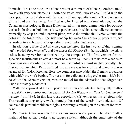in music. 'This one note, or a silent beat, or a moment of silence, comforts me. I work with very few elements – with one voice, with two voices. I build with the most primitive materials – with the triad, with one specific tonality. The three notes of the triad are like bells. And that is why I called it tintinnabulation.' As the Canadian musicologist Brenda Dalen stated in her programme notes for *Fratres* the basis for tintinnabulation is 'a two-part texture, in which a melodic voice moves primarily by step around a central pitch, while the tintinnabuli voice sounds the notes of the tonic triad. The relationship between the voices is predetermined according to a scheme that is specific to each individual work.'

In addition to *Wenn Bach Bienen gezüchtet hätte*, the first works of this 'coming out' included *Pari Intervallo* and the successful *Fratres* (Brothers), which nowadays exists in many versions authorized by the composer. The first version for unspecified instruments (it could almost be a score by Bach) is at its core a series of variations on a chordal theme of six bars that unfolds almost mathematically. The first version in which Pärt specified instruments was for violin and piano, and was arranged for Gidon Kremer. Here the composer also added the frenetic arpeggios with which the work begins. The version for cello and string orchestra, which Pärt based on the Kremer version, was the model for the adaptation that Jörgen van Rijen ultimately made of it.

With the approval of the composer, van Rijen also adapted the equally mathematical *Pari Intervallo* and the beautiful *An den Wassern zu Babel saßen wir und weinten* from 1984. In this last work especially, Pärt expresses his religious side. The vocalists sing only vowels, namely those of the words 'kyrie eleison'. Of course, this particular hidden religious meaning is missing in the version for trom bone.

Pärt wrote *Vater unser* in 2005 for boy soprano and piano. The strict mathematics of his earlier works is no longer evident, although the simplicity of the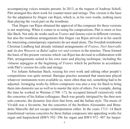accom panying voices remains present. In 2013, at the request of Andreas Scholl, Pärt arranged this short work for counter-tenor and strings. This version is the base for the adaptation by Jörgen van Rijen, which is, in his own words, nothing more than playing the vocal part on the trombone.

That Jörgen van Rijen obtained the approval of the composer for these versions is not surprising. When it comes to re-using his compositions, Pärt is more or less like Bach. Not only do works such as *Fratres* and *Summa* exist in different versions, but also the trombone arrangements that Jörgen van Rijen arrived at in his search for interesting contemporary repertoire do not stand alone. The Swedish trombonist Christian Lindberg had already initiated arrangements of *Fratres*, *Pari Intervallo* and *An den Wassern zu Babel saßen wir und weinten* in the nineties. These formed the basis of the present versions which van Rijen has devised in collaboration with Pärt, arrangements suited to his own taste and playing technique, including the virtuoso arpeggios at the beginning of *Fratres* which he performs in accordance with Pärt's version for cello and strings.

For Johann Sebastian Bach, reusing his own work and editing other people's com positions was quite normal. Baroque practice assumed that musicians played whatever instruments were available so, more often than not, something had to be adjusted. Arranging works by fellow-composers was also a way for Bach to bring them into domestic use as well as to master the style of others. For example, during the time he worked in Weimar (1708–17), he occupied himself extensively with the concertos of his Italian colleagues. Bach was greatly intrigued by the then new solo concerto, the dynamic fast-slow-fast form, and the Italian style. The music of Vivaldi was a favourite, but the concertos of the brothers Alessandro and Bene detto Marcello did not escape reinterpretation either. In the years 1713–14 Bach trans formed various concertos by these Italian composers into appealing works for organ and harpsichord (BWV 592–596 for organ and BWV 972–987 for harpsi -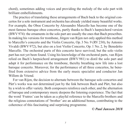chord), sometimes adding voices and providing the melody of the solo part with brilliant em bellishments.

The practice of translating these arrangements of Bach back to the original concertos for a solo instrument and orchestra has already yielded many beautiful works. For example, the Oboe Concerto by Alessandro Marcello has become one of the most famous baroque oboe concertos, partly thanks to Bach's harpsichord version (BWV 974): the ornaments in the solo part are usually the ones that Bach prescribes. In making his versions for trombone, Jörgen van Rijen not only applied this method to Marcello's concerto and the Violin Concerto, Op. 3 No. 9 (RV 230), by Antonio Vivaldi (BWV 972), but also on a lost Violin Concerto, Op. 1 No. 2, by Benedetto Marcello. The orchestral parts of this concerto have survived, but the solo violin part has not yet been found. Using his knowledge of the orchestral parts, van Rijen relied on Bach's harpsichord arrangement (BWV 981) to distil the solo part and adapt it for performance on the trombone, thereby breathing new life into a lost baroque concerto. Moreover, for the performance of all three concertos, he bene fited from extensive advice from the early music specialist and conductor Jan Willem de Vriend.

For van Rijen, the decision to alternate between the baroque solo concertos and Pärt's works was not determined just by the link between Bach and Pärt, but also by a wish to offer variety. Both composers reinforce each other, and the alternation of baroque and contemporary music deepens the listening experience. The fact that the word 'Fratres' can be taken as a playful reference to the Marcello brothers and the religious connotations of 'brother' are an additional bonus, contributing to the coherence of this fascinating and surprising programme.

*© Paul Janssen 2018*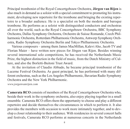Principal trombonist of the Royal Concertgebouw Orchestra, **Jörgen van Rijen** is also much in demand as a soloist with a special commitment to promoting his instru ment, developing new repertoire for the trombone and bringing the existing reper toire to a broader audience. He is a specialist on both the modern and baroque trom bone. He performs as a soloist with distinguished conductors and orchestras all over the world, such as the Royal Concertgebouw Orchestra, BBC Symphony Orch estra, Dallas Symphony Orchestra, Orchestre de Suisse Romande, Czech Phil harmonic Orchestra, Rotterdam Philharmonic Orchestra, Antwerp Symphony Orch estra, Radio Symphony Orchestra Berlin and Tokyo Philharmonic Orchestra.

Various composers – among them James MacMillan, Kalevi Aho, Jacob TV and Florian Maier – have written new pieces for Jörgen van Rijen. Besides winning several international solo competitions, he has received the Netherlands Music Prize, the highest distinction in the field of music, from the Dutch Ministry of Culture, and also the Borletti-Buitoni Trust Award.

At the invitation of Claudio Abbado, he became principal trombonist of the Lucerne Festival Orchestra. As guest principal, he has performed with many dif ferent orchestras, such as the Los Angeles Philharmonic, Bavarian Radio Symphony Orchestra and the New York Philharmonic.

*www.jorgenvanrijen.com*

**Camerata RCO** consists of members of the Royal Concertgebouw Orchestra who, beside their work in the symphony orchestra, also enjoy playing together in a small ensemble. Camerata RCO offers them the opportunity to choose and play a different repertoire and decide themselves the circumstances in which to perform it. It also provides the members with occasion to work more intimately together, and to develop a closer relationship to their audience. With residencies in several concert halls and festivals, Camerata RCO performs at numerous concerts in the Netherlands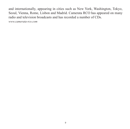and internationally, appearing in cities such as New York, Washington, Tokyo, Seoul, Vienna, Rome, Lisbon and Madrid. Camerata RCO has appeared on many radio and television broadcasts and has recorded a number of CDs.

*www.camerata-rco.com*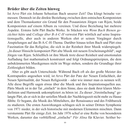### **Brüder über die Zeiten hinweg**

Ist Arvo Pärt ein Johann Sebastian Bach unserer Zeit? Das klingt beinahe ver messen. Dennoch ist die direkte Beziehung zwischen dem estnischen Komponisten und dem Thomaskantor ein Grund für den Posaunisten Jörgen van Rijen, beide Komponisten auf einem Album zu vereinen. Und diese Beziehung hat mehrere Aspekte. Erstens liebt Pärt Bachs Werke. In Stücken wie *Wenn Bach Bienen ge*  züchtet hätte und *Collage über B-A-C-H* verweist Pärt wörtlich auf seine Inspirationsquelle, aber auch in anderen Werken ehrt er seinen Vorgänger durch An spielungen auf das B-A-C-H-Thema. Darüber hinaus teilen Bach und Pärt eine Faszination für das Religiöse, die sich in der Reinheit ihrer Musik widerspiegelt. "In dieser Hinsicht komponiert Pärt alte Musik mit neuem Erscheinungsbild", sagt Jörgen van Rijen. Schließlich ist ihre Musik trotz dieser Reinheit und emotionalen Aufladung fast mathematisch konstruiert und folgt Ordnungsprinzipien, die dem unbekümmerten Musikgenuss nicht im Wege stehen, sondern die Grundlage ihrer Zeitlosigkeit bilden.

Aber es gibt auch Unterschiede. Während Bach oft als der große Meister des Kontrapunkts angesehen wird, ist Arvo Pärt der Pate der Neuen Einfachheit, der Neuen Spiritualität, der Neuen Religiosität – oder wie immer man es nennen will. Alle diese Begriffe sagen etwas über die Musik und ihre Inspirationsquellen aus. Pärts Musik ist in der Tat "einfach" in dem Sinne, dass sie dank ihrer klaren Melodielinien und Harmonik unkompliziert zu hören ist. Zu dieser "Vereinfachung" gelangte Pärt, als er sich in der seriellen Musik der Nachkriegszeit nicht mehr zu Hause fühlte. Er begann, die Musik des Mittelalters, der Renaissance und des Früh barock zu studieren. Die ersten Auswirkungen schlugen sich in seiner Dritten Symphonie von 1971 nieder, in der sich historische mit modernen Elementen mischten. Dann verstummte Pärt für einige Zeit. Im Jahr 1976 schuf er eine Reihe von besonderen Werken, darunter das verblüffend "einfache" *Für Alina* für Klavier. Seither be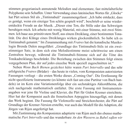stimmen gregorianisch anmutende Melodien und elementare, fast mittelalterliche Polyphonie sein Schaffen. Unter Verwendung eines lateinischen Wortes für "Glocke" hat Pärt seinen Stil als "Tintinnabuli" zusammengefasst: "Ich habe entdeckt, dass es genügt, wenn ein einziger Ton schön gespielt wird", beschrieb er seine wieder entdeckte Freude an der Musik. "Dieser eine Ton, die Stille oder das Schweigen be ruhigen mich. Ich arbeite mit wenig Material, mit einer Stimme, mit zwei Stim men. Ich baue aus primitivstem Stoff, aus einem Dreiklang, einer bestimmten Tona lität. Die drei Klänge eines Dreiklanges wirken glockenähnlich. So habe ich es Tintinnabuli genannt." Im Zusammenhang mit *Fratres* hat die kanadische Musiko login Brenda Dalen ausgeführt: "Grundlage des Tintinnabuli-Stils ist ein zweistimmiger Satz, in dem sich eine Melodiestimme meist schrittweise um einen Zentralton bewegt, während die Tintinnabuli-Stimme sich auf die Töne des Tonikadreiklangs be schränkt. Die Beziehung zwischen den Stimmen folgt einem vorgegebenen Plan, der auf jedes einzelne Werk speziell zugeschnitten ist."

Neben *Wenn Bach Bienen gezüchtet hätte* waren *Pari Intervallo* und das sehr erfolgreiche *Fratres* (Brüder) – das heute in vielen, vom Komponisten autorisierten Fassungen vorliegt – die ersten Werke dieses "Coming Out". Die Erstfassung für nicht spezifizierte Instrumente (es könnte sich fast um eine Partitur von Bach han deln) ist im Kern eine Variationenfolge über ein sechstaktiges Akkordthema, die sich nachgerade mathematisch entfaltet. Die erste Fassung mit Instrumenten angaben war jene für Violine und Klavier, die Pärt für Gidon Kremer einrichtete. Hier hat der Komponist auch die frenetischen Arpeggien hinzugefügt, mit denen das Werk beginnt. Die Fassung für Violoncello und Streichorchester, die Pärt auf Grundlage der Kremer-Version erstellte, war auch das Modell für die Adaption, die Jörgen van Rijen angefertigt hat.

Mit Zustimmung des Komponisten adaptierte van Rijen auch das ebenso mathe matische *Pari Intervallo* und das wunderbare *An den Wassern zu Babel saßen wir*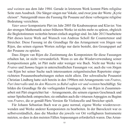*und weinten* aus dem Jahr 1984. Gerade in letzterem Werk kommt Pärts religiöse Seite zum Ausdruck. Die Sänger singen nur Vokale, und zwar jene der Worte "Kyrie eleison". Naturgemäß muss die Fassung für Posaune auf diese verborgene religiöse Bedeutung verzichten.

*Vater unser* komponierte Pärt im Jahr 2005 für Knabensopran und Klavier. Von der strengen Mathematik seiner früheren Werke ist nichts mehr zu spüren, obgleich die Begleit stimmen weiterhin betont einfach angelegt sind. Im Jahr 2013 bearbeitete Pärt dieses kurze Werk auf Wunsch von Andreas Scholl für Countertenor und Streicher. Diese Fassung ist die Grundlage für das Arrangement von Jörgen van Rijen, das seinen eigenen Worten zufolge nur darin besteht, den Gesangspart auf der Posaune zu spielen.

Dass Jörgen van Rijen die Zustimmung des Komponisten für diese Fassungen erhalten hat, ist nicht verwunderlich. Wenn es um die Wiederverwendung seiner Kom positionen geht, ist Pärt mehr oder weniger wie Bach. Nicht nur Werke wie *Fratres* und *Summa* liegen in unterschiedlichen Fassungen vor, auch die von Jörgen van Rijen bei seiner Suche nach interessantem zeitgenössischen Repertoire einge richteten Posaunenbearbeitungen stehen nicht allein. Der schwedische Posaunist Christian Lindberg hatte sich bereits in den 1990ern mit Arrangements von *Fratres*, *Pari Intervallo* und *An den Wassern zu Babel saßen wir und weinten* beschäftigt. Sie bilden die Grundlage für die vorliegenden Fassungen, die van Rijen in Zusammenarbeit mit Pärt eingerichtet hat – Arrangements, die seinem eigenen Geschmack und seiner Spieltechnik entsprechen; sie enthalten auch die virtuosen Arpeggios zu Beginn von *Fratres*, die er gemäß Pärts Version für Violoncello und Streicher spielt.

Für Johann Sebastian Bach war es ganz normal, eigene Werke wiederzuverwenden und Werke anderer Komponisten zu bearbeiten. In der Barockzeit war es selbstverständlich, dass die Musiker die jeweils vor Ort verfügbaren Instrumente nutzten, so dass in den meisten Fällen Anpassungen erforderlich waren. Das Arran -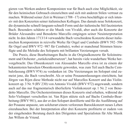gieren von Werken anderer Komponisten war für Bach auch eine Möglichkeit, sie für den heimischen Gebrauch einzurichten und sich mit anderen Stilen vertraut zu machen. Während seiner Zeit in Weimar (1708–17) etwa beschäftigte er sich intensiv mit den Konzerten seiner italienischen Kollegen. Das damals neue Solokonzert, die dynamische schnell-langsam-schnell-Form und der italienische Stil faszinierten Bach. Besonders schätzte er die Musik von Vivaldi, aber auch die Konzerte der Brüder Alessandro und Benedetto Marcello entgingen seiner Neuinterpretation nicht. In den Jahren 1713/14 verwandelte Bach verschiedene Konzerte dieser italie ni schen Komponisten in reizvolle Werke für Orgel und Cembalo (BWV 592–596 für Orgel und BWV 972–987 für Cembalo), wobei er manchmal Stimmen hinzu fügte und die Melodie des Soloparts mit brillanten Verzierungen versah.

Die Praxis, diese Bearbeitungen Bachs in die Originalkonzerte für Soloinstru ment und Orchester "zurückzuübersetzen", hat bereits viele wunderbare Werke hervorgebracht. Das Oboenkonzert von Alessandro Marcello etwa ist zu einem der bekanntesten barocken Oboenkonzerte geworden, was zum Teil auch Bachs Cem balofassung (BWV 974) zu verdanken ist: Die Verzierungen im Solopart sind zu meist jene, die Bach vorschreibt. Als er seine Posaunenfassungen einrichtete, hat Jörgen van Rijen diese Methode nicht nur auf Marcellos Konzert und das Violin konzert op. 3 Nr. 9 (RV 230) von Antonio Vivaldi (BWV 972) angewandt, sondern auch auf das nur fragmentarisch überlieferte Violinkonzert op. 1 Nr. 2 von Bene detto Marcello. Die Orchesterstimmen dieses Konzerts sind erhalten, während der Solo-Violinpart verschollen ist. Van Rijen stützte sich auf Bachs Cembalo-Bear beitung (BWV 981), aus der er den Solopart destillierte und für die Ausführung auf der Posaune anpasste, um solcherart einem verlorenen Barockkonzert neues Leben einzuhauchen. Bei der Interpretation aller drei Konzerte profitierte er zudem von der eingehenden Beratung durch den Dirigenten und Spezialisten für Alte Musik Jan Willem de Vriend.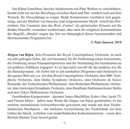Van Rijens Entschluss, barocke Solokonzerte mit Pärts Werken zu verschränken, beruht nicht nur auf der Beziehung zwischen Bach und Pärt, sondern auch auf dem Wunsch, für Abwechslung zu sorgen. Beide Komponisten verstärken sich gegenseitig, und der Wechsel von barocker und zeitgenössischer Musik vertieft das Hör erlebnis. Der Umstand, dass das Wort "Fratres" als spielerischer Hinweis auf die Brüder Marcello verstanden werden kann, aber auch die religiösen Konnotationen des Begriffs "Bruder" tragen das ihre zur Stimmigkeit dieses faszinierenden und über raschenden Programms bei.

#### *© Paul Janssen 2018*

**Jörgen van Rijen**, Solo-Posaunist des Royal Concertgebouw Orchestra, ist auch ein sehr gefragter Solist, der sich besonders für die Verbreitung seines Instruments, die Förderung neuen Posaunenrepertoires und die Vermittlung des bestehenden an ein größeres Publikum engagiert. Er ist Spezialist sowohl für die moderne wie für die Barockposaune. Als Solist tritt er mit namhaften Dirigenten und Orchestern in der ganzen Welt auf, u.a. mit dem Royal Concertgebouw Orchestra, dem BBC Sym phony Orchestra, dem Dallas Symphony Orchestra, dem Orchestre de Suisse Romande, der Tschechischen Philharmonie, dem Rotterdam Philharmonic Orches tra, dem Antwerpen Symphony Orchestra, dem Rundfunk-Sinfonieorchester Berlin und dem Tokyo Philharmonic Orchestra.

Verschiedene Komponisten – darunter James MacMillan, Kalevi Aho, Jacob TV und Florian Maier – haben neue Werke für Jörgen van Rijen geschrieben. Er hat mehrere internationale Solowettbewerbe gewonnen und wurde mit dem Nieder ländischen Musikpreis – der höchsten Auszeichnung der Niederlande auf dem Gebiet der Musik, verliehen vom niederländischen Kulturministerium – sowie dem Borletti-Buitoni Trust Award geehrt.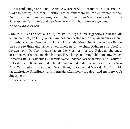Auf Einladung von Claudio Abbado wurde er Solo-Posaunist des Lucerne Fes tival Orchestra; in dieser Funktion hat er außerdem bei vielen verschiedenen Orchestern wie dem Los Angeles Philharmonic, dem Symphonieorchester des Baye rischen Rundfunks und den New Yorker Philharmonikern gastiert. *www.jorgenvanrijen.com*

**Camerata RCO** besteht aus Mitgliedern des Royal Concertgebouw Orchestra, die neben ihrer Tätigkeit im großen Symphonieorchester gerne auch in einem kleineren Ensemble spielen. Camerata RCO bietet ihnen die Möglichkeit, ein anderes Reper toire auszuwählen und selber zu entscheiden, in welchem Rahmen es aufgeführt werden soll. Darüber hinaus haben die Musiker hier die Gelegenheit, enger zusammenzuarbeiten und eine intimere Beziehung zu ihrem Publikum aufzubauen. Camerata RCO, residentes Ensemble verschiedener Kon zerthäuser und Festivals, gibt zahlreiche Konzerte in den Niederlanden und in der ganzen Welt, u.a. in New York, Washington, Tokio, Seoul, Wien, Rom, Lissabon und Madrid. Das Ensemble hat zahlreiche Rundfunk- und Fernsehaufnahmen vorgelegt und mehrere CDs eingespielt.

*www.camerata-rco.com*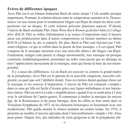# **Frères de différentes époques**

Arvo Pärt est-il un Johann Sebastian Bach de notre temps ? Cela semble presque impertinent. Pourtant, la relation directe entre le compositeur estonien et le *Thomas kantor* est une raison pour le tromboniste Jörgen van Rijen de réunir les deux compositeurs sur un disque. Et cette relation présente plusieurs aspects. D'abord, l'œuvre de Bach enchante Pärt. Dans *Wenn Bach Bienen gezüchtet hätte* et *Collage über BACH*, Pärt se réfère littéralement à sa source d'inspiration mais il honore aussi son prédécesseur dans d'autres compositions en faisant mention au thème BACH (si bémol, la, do, si naturel). De plus, Bach et Pärt sont fascinés par l'élé ment religieux, ce qui se reflète dans la pureté de leur musique. «À cet égard, Pärt compose de la musique ancienne avec une nouvelle allure» dit Jörgen van Rijen. Finalement, malgré cette pureté et charge émotionnelle, leur musique est presque construite mathématiquement, possédant un ordre sous-jacent qui ne dérange en rien l'appréciation insouciante de la musique, mais qui forme la base de son intem poralité.

Il y a aussi des différences. Là où Bach est souvent vu comme le grand maître de la polyphonie, Arvo Pärt est le parrain de la nouvelle simplicité, nouvelle reli giosité, ou quel que soit l'épithète donné. Tous ces termes disent quelque chose sur la musique et les sources d'inspiration. L'œuvre de Pärt est vraiment « simple » dans ce sens qu'elle est facile d'écoute grâce aux lignes mélodiques et aux harmonies claires. Pärt est arrivé à cette «simplification» quand il ne se sentit plus à l'aise avec le sérialisme de l'après-guerre. Il commença à étudier la musique du moyen âge, de la Renaissance et du jeune baroque, dont les effets se font sentir dans sa Troisième Symphonie de 1971 où les éléments historiques se fusionnent avec son modernisme. Pärt garda ensuite le silence pendant un certain temps. En 1976, il présenta un nombre d'œuvres spéciales dont l'incroyablement «simple» *Für Alina* pour piano. Depuis lors, des mélodies de style grégorien et de la polyphonie élé -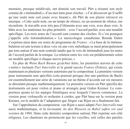mentaire, presque médiévale, ont dominé son travail. Pärt a résumé son style comme de «tintinnabuli», d'un mot latin pour cloches: «J'ai découvert qu'il suffit qu'une seule note soit jouée avec beauté », dit Pärt de son plaisir retrouvé en musique. «Cette seule note, ou un temps de silence, ou un moment de silence, me réconforte. Je travaille avec très peu d'éléments avec une voix, avec deux voix. Je bâtis avec les matériaux les plus primitifs – avec l'accord parfait, avec une tonalité spécifique. Les trois notes de l'accord sont comme des cloches. Et c'est pourquoi j'appelle cela tintinnabulation. » La musicologue canadienne Brenda Dalen s'exprima ainsi dans ses notes de programme de *Fratres*: «La base de la tintinna bulation est une texture à deux voix où une voix mélodique se meut principalement par tons autour d'une note centrale tandis que la voix de tintinnabuli joue les notes de l'accord parfait de la tonique. La relation entre les voix est prédéterminée selon un modèle spécifique à chaque œuvre précise.»

En plus de *Wenn Bach Bienen gezüchtet hätte*, les premières œuvres de cette « sortie » incluent *Pari Intervallo* et le grand succès *Fratres* (Frères), qui existe maintenant en plusieurs versions autorisées par le compositeur. La première version pour instruments non spécifiés (cela pourrait presque être une partition de Bach) est essentiellement une série de variations sur un thème d'accords sur six mesures se déroulant presque mathématiquement. La première version où Pärt spécifia des instruments est pour violon et piano et arrangée pour Gidon Kremer. Le compositeur ajouta ici les arpèges frénétiques avec lesquels l'œuvre commence. La version pour violoncelle et orchestre à cordes, que Pärt basa sur la version pour Kremer, est le modèle de l'adaptation que Jörgen van Rijen en a finalement fait.

Sur l'approbation du compositeur, van Rijen a aussi adapté *Pari Intervallo* tout aussi mathématique, et la ravissante *An den Wassern zu Babel saßen wir und weinten* de 1984. Dans cette dernière composition surtout, Pärt exprime son côté religieux. Les chanteurs ne prononcent que les voyelles, soit celles des paroles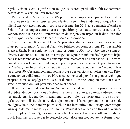Kyrie Eleison. Cette signification religieuse secrète particulière fait évidemment défaut dans la version pour trombone.

Pärt a écrit *Vater unser* en 2005 pour garçon soprano et piano. Les mathématiques strictes de ses œuvres précédentes ne sont plus évidentes quoique la sim plicité des voix accompagnatrices reste présente. En 2013, à la demande d'Andreas Scholl, Pärt arrangea cette courte composition pour haute-contre et cordes. La version forme la base de l'interprétation de Jörgen van Rijen qu'il dit n'être rien de plus que l'exécution de la partie vocale au trombone.

Que Jörgen van Rijen ait obtenu l'approbation du composteur pour ces versions n'est pas surprenant. Quand il s'agit de réutiliser ses compositions, Pärt ressemble assez à Bach. Non seulement des œuvres comme *Fratres* et *Summa* existent en diverses versions, mais encore les arrangements pour trombone de Jörgen van Rijen dans sa recherche de répertoire contemporain intéressant ne nont pas seuls. Le tromboniste suédois Christian Lindberg a déjà entrepris des arrangements pour trombone de *Fratres*, Pari Intervallo et *An den Wassern zu Babel saßen wir und weinten* dans les années 90. Ces arrangements sont à la base des versions actuelles que van Rijen a conçues en collaboration avec Pärt, arrangements adaptés à son goût et technique propres, dont les arpèges virtuoses au début de *Fratres* complètement en accord avec la version de Pärt pour violoncelle et cordes.

Il était bien normal pour Johann Sebastian Bach de réutiliser ses propres œuvres et d'éditer des compositions d'autres musiciens. La pratique baroque admettait que les musiciens jouent des instruments disponibles de sorte que, plus souvent qu'autre ment, il fallait faire des ajustements. L'arrangement des œuvres de collègues était une manière pour Bach de les introduire dans l'usage domestique ainsi que de maîtriser le style des autres. Pendant ses années de travail à Weimar par exemple (1708–17), il examina en détail les concertos de ses collègues italiens. Bach était très intrigué par le concerto solo, alors une nouveauté, la forme dyna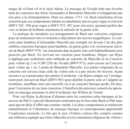mique de vif-lent-vif et le style italien. La musique de Vivaldi était une favorite mais les concertos des frères Alessandro et Benedetto Marcello n'échappèrent pas non plus à la réinterprétation. Dans les années 1713–14, Bach transforma divers concertos par ces compositeurs italiens en attachantes œuvres pour orgue et clavecin (BWV 592–596 pour orgue et BWV 972–987 pour clavecin), ajoutant parfois des voix et dotant de brillants ornements la mélodie de la partie solo.

La pratique de retraduire ces arrangements de Bach aux concertos originaux pour un instrument solo et orchestre a déjà donné des œuvres magnifiques. Le con certo pour hautbois d'Alessandro Marcello par exemple est devenu l'un des plus célèbres concertos baroques pour hautbois, en partie grâce à la version pour clave cin de Bach (BWV974) : les ornements dans la partie solo sont habituellement ceux prescrits par Bach. En écrivant ses versions pour trombone, Jörgen van Rijen n'appliqua pas seulement cette méthode au concerto de Marcello et au Concerto pour violon op. 3 no 9 (RV230) de Vivaldi (BWV972), mais encore au Concerto pour violon op. 1 no 2 perdu de Benedetto Marcello. Les parties originales de ce concerto ont survécu mais celle du violon solo n'a pas encore été trouvée. Ayant recours à sa connaissance des parties d'orchestre, van Rijen compta sur l'arrange ment pour clavecin de Bach (BWV981) pour distiller la partie solo et l'adapter au trombone, insufflant ainsi une nouvelle vie à un concerto baroque perdu. De plus, pour l'exécution de ces trois concertos, il bénéficia des précieux conseils du spécia liste en musique ancienne et chef d'orchestre Jan Willem de Vriend.

Pour van Rijen, la décision d'alterner entre les concertos solos baroques et les œuvres de Pärt n'a pas été déterminée seulement par le lien entre Bach et Pärt mais aussi par un désir d'offrir une certaine variété. Les deux compositeurs se renforcent mutuellement et l'alternance de musique baroque et contemporaine approfondit l'expérience musicale. Le fait que le mot «Fratres » puisse être compris comme une référence espiègle aux frères Marcello et à la connotation religieuse de «frères»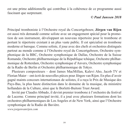est une prime additionnelle qui contribue à la cohérence de ce programme aussi fascinant que surprenant.

*© Paul Janssen 2018*

Principal tromboniste à l'Orchestre royal du Concertgebouw, **Jörgen van Rijen** est aussi très demandé comme soliste avec un engagement spécial pour la promotion de son instrument, développant un nouveau répertoire pour le trombone et portant le répertoire existant à un plus vaste public. Il est spécialisé en trombone moderne et baroque. Comme soliste, il joue avec des chefs et orchestres distingués partout au monde comme à l'Orchestre royal du Concertgebouw, Orchestre sym pho nique de la BBC, Orchestre symphonique de Dallas, Orchestre de la Suisse Romande, Orchestre philharmonique de la République tchèque, Orchestre philhar monique de Rotterdam, Orchestre symphonique d'Anvers, Orchestre symphonique de la Radio de Berlin et Orchestre philharmonique de Tokyo.

Plusieurs compositeurs – dont James MacMillan, Kalevi Aho, Jacob TV et Florian Maier – ont écrit de nouvelles pièces pour Jörgen van Rijen. En plus d'avoir gagné maints concours internationaux de solistes, il a reçu le Prix de Musique des Pays-Bas, la plus haute distinction dans le domaine de la musique, du ministère hollandais de la Culture, ainsi que le Borletti-Buitoni Trust Award.

Invité par Claudio Abbado, il devint premier trombone à l'orchestre du festival de Lucerne. Comme principal invité, il a joué avec plusieurs formations dont les orchestres philharmoniques de Los Angeles et de New York, ainsi que l'Orchestre symphonique de la Radio de Bavière.

*www.jorgenvanrijen.com*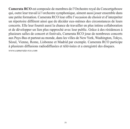**Camerata RCO** est composée de membres de l'Orchestre royal du Concertgebouw qui, outre leur travail à l'orchestre symphonique, aiment aussi jouer ensemble dans une petite formation. Camerata RCO leur offre l'occasion de choisir et d'interpréter un répertoire différent ainsi que de décider eux-mêmes des circonstances de leurs concerts. Elle leur fournit aussi la chance de travailler en plus intime collaboration et de développer un lien plus rapproché avec leur public. Grâce à des résidences à plusieurs salles de concert et festivals, Camerata RCO joue de nombreux concerts aux Pays-Bas et partout au monde, dans les villes de New York, Washington, Tokyo, Séoul, Vienne, Rome, Lisbonne et Madrid par exemple. Camerata RCO participe à plusieurs diffusions radiodiffusées et télévisées et a enregistré des disques. *www.camerata-rco.com*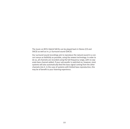The music on BIS's Hybrid SACDs can be played back in Stereo (CD and SACD) as well as in 5.0 Surround sound (SACD).

Our surround sound recordings aim to reproduce the natural sound in a concert venue as faithfully as possible, using the newest technology. In order to do so, all channels are recorded using the full frequency range, with no separate bass channel added. If your sub-woofer is switched on, however, most systems will also automatically feed the bass signal coming from the other channels into it. In the case of systems with limited bass reproduction, this may be of benefit to your listening experience.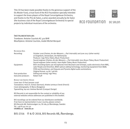This CD has been made possible thanks to the generous support of the Els Mosler Fund, a trust fund of the RCO Foundation specially intended to support the brass players of the Royal Concertgebouw Orchestra, and thanks to the Prix de Salon, a prize awarded annually by De Salon (the business club of the Royal Concertgebouw Orchestra) to special projects by individual musicians of the orchestra.





#### RCO FOUDDATION DE SALOD

#### Instrumentarium:

Trombone: Antoine Courtois AC 420 BHR Mouthpiece: Antoine Courtois, model Michel Becquet

#### RECORDING DATA

| Recording:          | October 2016 (Fratres; An den Wassern; Pari Intervallo) and June 2017 (other works)<br>at Singelkerk, Amsterdam, the Netherlands                                                          |
|---------------------|-------------------------------------------------------------------------------------------------------------------------------------------------------------------------------------------|
|                     | Producer: Ingo Petry (Takes Music Production)                                                                                                                                             |
|                     | Sound engineer (Fratres; An den Wassern; Pari Intervallo): Jens Braun (Takes Music Production)                                                                                            |
|                     | Sound engineer (other works): Hans Kipfer (Takes Music Production)                                                                                                                        |
| Equipment:          | BIS's recording teams use microphones from Neumann and Schoeps, audio electronics from RME,<br>Lake People and DirectOut, MADI optical cabling technology, monitoring equipment from B&W, |
|                     | STAX and Sennheiser, and Sequoia and Pyramix digital audio workstations.                                                                                                                  |
|                     | Original format: 24 bit / 96 kHz                                                                                                                                                          |
| Post-production:    | Editing and mixing: Ingo Petry                                                                                                                                                            |
| Executive producer: | Robert Suff                                                                                                                                                                               |

BOOKLET AND GRAPHIC DESIGN

Cover text: © Paul Janssen 2018 Translations: Horst A. Scholz (German); Arlette Lemieux-Chené (French) Cover photography: © Marco Borggreve Typesetting, lay-out: Andrew Barnett (Compact Design)

BIS Records is not responsible for the content or reliability of any external websites whose addresses are published in this booklet.

BIS recordings can be ordered from our distributors worldwide. If we have no representation in your country, please contact-BIS Records AB, Stationsvägen 20, SE-184 50 Åkersberga, Sweden Tel.: +46 8 544 102 30 info@bis.se www.bis.se

#### BIS-2316  $\circledR$  &  $\circledR$  2018, BIS Records AB, Åkersberga.